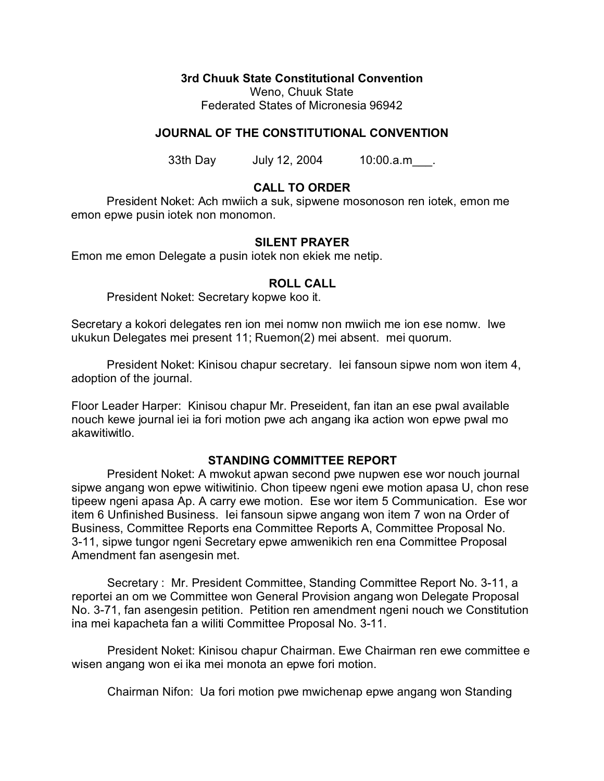**3rd Chuuk State Constitutional Convention**

Weno, Chuuk State Federated States of Micronesia 96942

# **JOURNAL OF THE CONSTITUTIONAL CONVENTION**

33th Day July 12, 2004 10:00.a.m.

## **CALL TO ORDER**

President Noket: Ach mwiich a suk, sipwene mosonoson ren iotek, emon me emon epwe pusin iotek non monomon.

### **SILENT PRAYER**

Emon me emon Delegate a pusin iotek non ekiek me netip.

### **ROLL CALL**

President Noket: Secretary kopwe koo it.

Secretary a kokori delegates ren ion mei nomw non mwiich me ion ese nomw. Iwe ukukun Delegates mei present 11; Ruemon(2) mei absent. mei quorum.

President Noket: Kinisou chapur secretary. Iei fansoun sipwe nom won item 4, adoption of the journal.

Floor Leader Harper: Kinisou chapur Mr. Preseident, fan itan an ese pwal available nouch kewe journal iei ia fori motion pwe ach angang ika action won epwe pwal mo akawitiwitlo.

### **STANDING COMMITTEE REPORT**

President Noket: A mwokut apwan second pwe nupwen ese wor nouch journal sipwe angang won epwe witiwitinio. Chon tipeew ngeni ewe motion apasa U, chon rese tipeew ngeni apasa Ap. A carry ewe motion. Ese wor item 5 Communication. Ese wor item 6 Unfinished Business. Iei fansoun sipwe angang won item 7 won na Order of Business, Committee Reports ena Committee Reports A, Committee Proposal No. 3-11, sipwe tungor ngeni Secretary epwe amwenikich ren ena Committee Proposal Amendment fan asengesin met.

Secretary : Mr. President Committee, Standing Committee Report No. 3-11, a reportei an om we Committee won General Provision angang won Delegate Proposal No. 3-71, fan asengesin petition. Petition ren amendment ngeni nouch we Constitution ina mei kapacheta fan a wiliti Committee Proposal No. 3-11.

President Noket: Kinisou chapur Chairman. Ewe Chairman ren ewe committee e wisen angang won ei ika mei monota an epwe fori motion.

Chairman Nifon: Ua fori motion pwe mwichenap epwe angang won Standing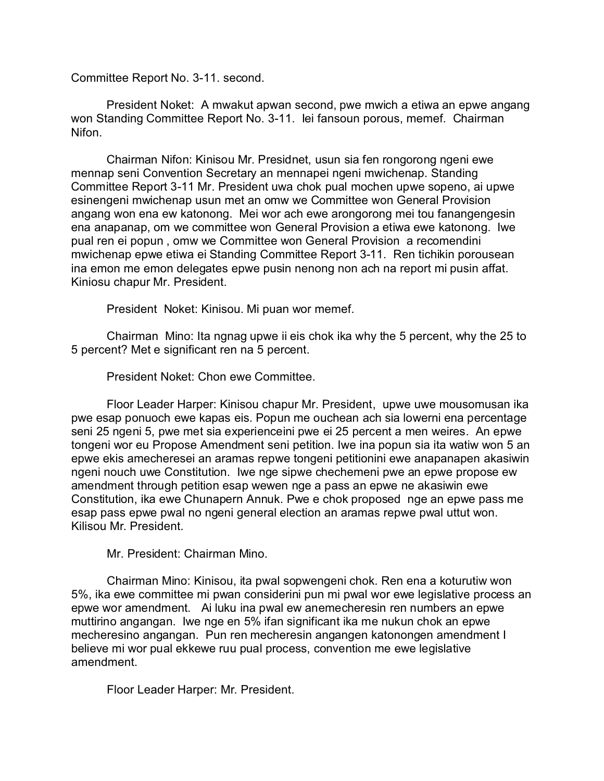### Committee Report No. 3-11. second.

President Noket: A mwakut apwan second, pwe mwich a etiwa an epwe angang won Standing Committee Report No. 3-11. Iei fansoun porous, memef. Chairman Nifon.

Chairman Nifon: Kinisou Mr. Presidnet, usun sia fen rongorong ngeni ewe mennap seni Convention Secretary an mennapei ngeni mwichenap. Standing Committee Report 3-11 Mr. President uwa chok pual mochen upwe sopeno, ai upwe esinengeni mwichenap usun met an omw we Committee won General Provision angang won ena ew katonong. Mei wor ach ewe arongorong mei tou fanangengesin ena anapanap, om we committee won General Provision a etiwa ewe katonong. Iwe pual ren ei popun , omw we Committee won General Provision a recomendini mwichenap epwe etiwa ei Standing Committee Report 3-11. Ren tichikin porousean ina emon me emon delegates epwe pusin nenong non ach na report mi pusin affat. Kiniosu chapur Mr. President.

President Noket: Kinisou. Mi puan wor memef.

Chairman Mino: Ita ngnag upwe ii eis chok ika why the 5 percent, why the 25 to 5 percent? Met e significant ren na 5 percent.

President Noket: Chon ewe Committee.

Floor Leader Harper: Kinisou chapur Mr. President, upwe uwe mousomusan ika pwe esap ponuoch ewe kapas eis. Popun me ouchean ach sia lowerni ena percentage seni 25 ngeni 5, pwe met sia experienceini pwe ei 25 percent a men weires. An epwe tongeni wor eu Propose Amendment seni petition. Iwe ina popun sia ita watiw won 5 an epwe ekis amecheresei an aramas repwe tongeni petitionini ewe anapanapen akasiwin ngeni nouch uwe Constitution. Iwe nge sipwe chechemeni pwe an epwe propose ew amendment through petition esap wewen nge a pass an epwe ne akasiwin ewe Constitution, ika ewe Chunapern Annuk. Pwe e chok proposed nge an epwe pass me esap pass epwe pwal no ngeni general election an aramas repwe pwal uttut won. Kilisou Mr. President.

Mr. President: Chairman Mino.

Chairman Mino: Kinisou, ita pwal sopwengeni chok. Ren ena a koturutiw won 5%, ika ewe committee mi pwan considerini pun mi pwal wor ewe legislative process an epwe wor amendment. Ai luku ina pwal ew anemecheresin ren numbers an epwe muttirino angangan. Iwe nge en 5% ifan significant ika me nukun chok an epwe mecheresino angangan. Pun ren mecheresin angangen katonongen amendment I believe mi wor pual ekkewe ruu pual process, convention me ewe legislative amendment.

Floor Leader Harper: Mr. President.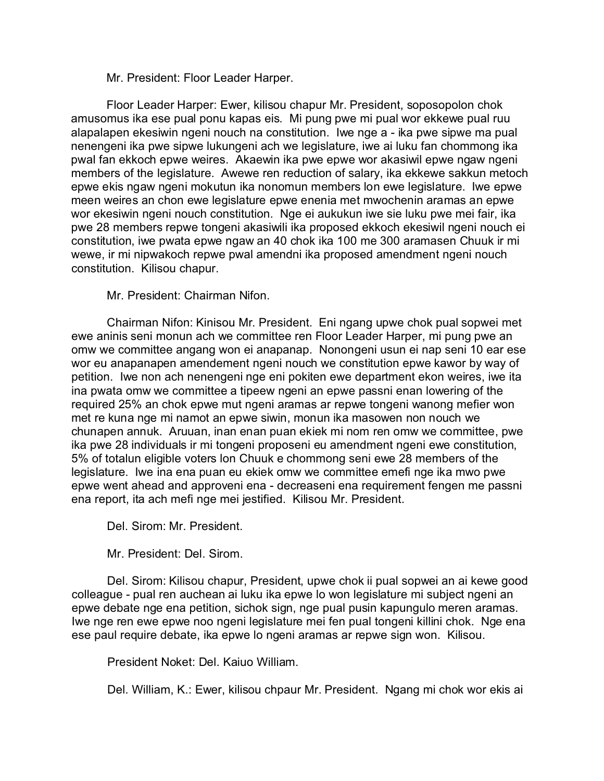Mr. President: Floor Leader Harper.

Floor Leader Harper: Ewer, kilisou chapur Mr. President, soposopolon chok amusomus ika ese pual ponu kapas eis. Mi pung pwe mi pual wor ekkewe pual ruu alapalapen ekesiwin ngeni nouch na constitution. Iwe nge a - ika pwe sipwe ma pual nenengeni ika pwe sipwe lukungeni ach we legislature, iwe ai luku fan chommong ika pwal fan ekkoch epwe weires. Akaewin ika pwe epwe wor akasiwil epwe ngaw ngeni members of the legislature. Awewe ren reduction of salary, ika ekkewe sakkun metoch epwe ekis ngaw ngeni mokutun ika nonomun members lon ewe legislature. Iwe epwe meen weires an chon ewe legislature epwe enenia met mwochenin aramas an epwe wor ekesiwin ngeni nouch constitution. Nge ei aukukun iwe sie luku pwe mei fair, ika pwe 28 members repwe tongeni akasiwili ika proposed ekkoch ekesiwil ngeni nouch ei constitution, iwe pwata epwe ngaw an 40 chok ika 100 me 300 aramasen Chuuk ir mi wewe, ir mi nipwakoch repwe pwal amendni ika proposed amendment ngeni nouch constitution. Kilisou chapur.

Mr. President: Chairman Nifon.

Chairman Nifon: Kinisou Mr. President. Eni ngang upwe chok pual sopwei met ewe aninis seni monun ach we committee ren Floor Leader Harper, mi pung pwe an omw we committee angang won ei anapanap. Nonongeni usun ei nap seni 10 ear ese wor eu anapanapen amendement ngeni nouch we constitution epwe kawor by way of petition. Iwe non ach nenengeni nge eni pokiten ewe department ekon weires, iwe ita ina pwata omw we committee a tipeew ngeni an epwe passni enan lowering of the required 25% an chok epwe mut ngeni aramas ar repwe tongeni wanong mefier won met re kuna nge mi namot an epwe siwin, monun ika masowen non nouch we chunapen annuk. Aruuan, inan enan puan ekiek mi nom ren omw we committee, pwe ika pwe 28 individuals ir mi tongeni proposeni eu amendment ngeni ewe constitution, 5% of totalun eligible voters lon Chuuk e chommong seni ewe 28 members of the legislature. Iwe ina ena puan eu ekiek omw we committee emefi nge ika mwo pwe epwe went ahead and approveni ena - decreaseni ena requirement fengen me passni ena report, ita ach mefi nge mei jestified. Kilisou Mr. President.

Del. Sirom: Mr. President.

Mr. President: Del. Sirom.

Del. Sirom: Kilisou chapur, President, upwe chok ii pual sopwei an ai kewe good colleague - pual ren auchean ai luku ika epwe lo won legislature mi subject ngeni an epwe debate nge ena petition, sichok sign, nge pual pusin kapungulo meren aramas. Iwe nge ren ewe epwe noo ngeni legislature mei fen pual tongeni killini chok. Nge ena ese paul require debate, ika epwe lo ngeni aramas ar repwe sign won. Kilisou.

President Noket: Del. Kaiuo William.

Del. William, K.: Ewer, kilisou chpaur Mr. President. Ngang mi chok wor ekis ai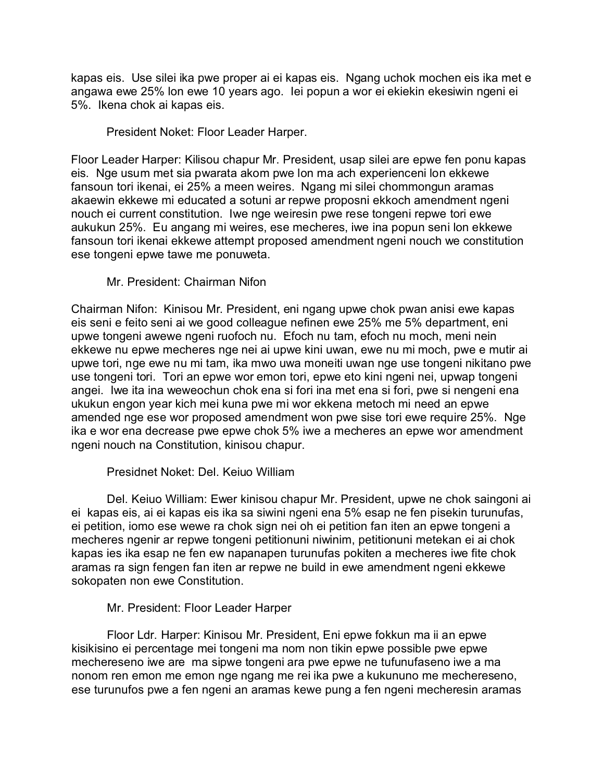kapas eis. Use silei ika pwe proper ai ei kapas eis. Ngang uchok mochen eis ika met e angawa ewe 25% lon ewe 10 years ago. Iei popun a wor ei ekiekin ekesiwin ngeni ei 5%. Ikena chok ai kapas eis.

President Noket: Floor Leader Harper.

Floor Leader Harper: Kilisou chapur Mr. President, usap silei are epwe fen ponu kapas eis. Nge usum met sia pwarata akom pwe lon ma ach experienceni lon ekkewe fansoun tori ikenai, ei 25% a meen weires. Ngang mi silei chommongun aramas akaewin ekkewe mi educated a sotuni ar repwe proposni ekkoch amendment ngeni nouch ei current constitution. Iwe nge weiresin pwe rese tongeni repwe tori ewe aukukun 25%. Eu angang mi weires, ese mecheres, iwe ina popun seni lon ekkewe fansoun tori ikenai ekkewe attempt proposed amendment ngeni nouch we constitution ese tongeni epwe tawe me ponuweta.

Mr. President: Chairman Nifon

Chairman Nifon: Kinisou Mr. President, eni ngang upwe chok pwan anisi ewe kapas eis seni e feito seni ai we good colleague nefinen ewe 25% me 5% department, eni upwe tongeni awewe ngeni ruofoch nu. Efoch nu tam, efoch nu moch, meni nein ekkewe nu epwe mecheres nge nei ai upwe kini uwan, ewe nu mi moch, pwe e mutir ai upwe tori, nge ewe nu mi tam, ika mwo uwa moneiti uwan nge use tongeni nikitano pwe use tongeni tori. Tori an epwe wor emon tori, epwe eto kini ngeni nei, upwap tongeni angei. Iwe ita ina weweochun chok ena si fori ina met ena si fori, pwe si nengeni ena ukukun engon year kich mei kuna pwe mi wor ekkena metoch mi need an epwe amended nge ese wor proposed amendment won pwe sise tori ewe require 25%. Nge ika e wor ena decrease pwe epwe chok 5% iwe a mecheres an epwe wor amendment ngeni nouch na Constitution, kinisou chapur.

Presidnet Noket: Del. Keiuo William

Del. Keiuo William: Ewer kinisou chapur Mr. President, upwe ne chok saingoni ai ei kapas eis, ai ei kapas eis ika sa siwini ngeni ena 5% esap ne fen pisekin turunufas, ei petition, iomo ese wewe ra chok sign nei oh ei petition fan iten an epwe tongeni a mecheres ngenir ar repwe tongeni petitionuni niwinim, petitionuni metekan ei ai chok kapas ies ika esap ne fen ew napanapen turunufas pokiten a mecheres iwe fite chok aramas ra sign fengen fan iten ar repwe ne build in ewe amendment ngeni ekkewe sokopaten non ewe Constitution.

Mr. President: Floor Leader Harper

Floor Ldr. Harper: Kinisou Mr. President, Eni epwe fokkun ma ii an epwe kisikisino ei percentage mei tongeni ma nom non tikin epwe possible pwe epwe mechereseno iwe are ma sipwe tongeni ara pwe epwe ne tufunufaseno iwe a ma nonom ren emon me emon nge ngang me rei ika pwe a kukununo me mechereseno, ese turunufos pwe a fen ngeni an aramas kewe pung a fen ngeni mecheresin aramas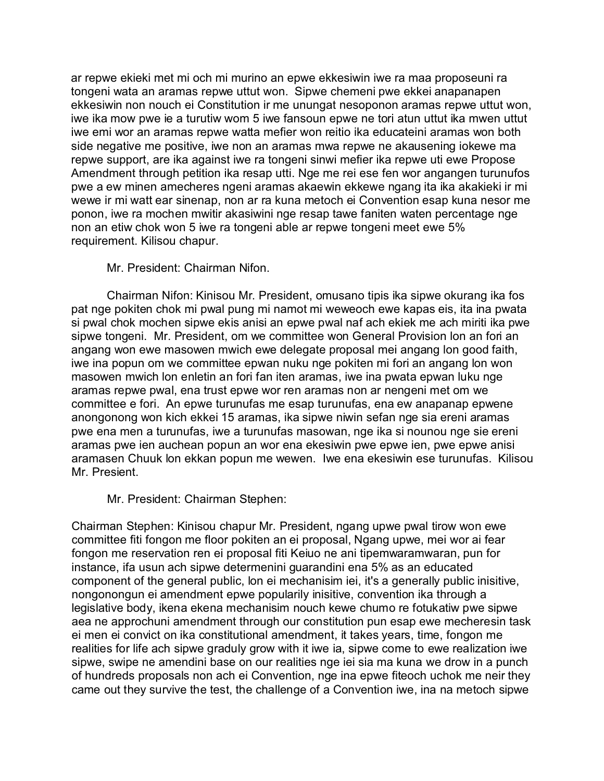ar repwe ekieki met mi och mi murino an epwe ekkesiwin iwe ra maa proposeuni ra tongeni wata an aramas repwe uttut won. Sipwe chemeni pwe ekkei anapanapen ekkesiwin non nouch ei Constitution ir me unungat nesoponon aramas repwe uttut won, iwe ika mow pwe ie a turutiw wom 5 iwe fansoun epwe ne tori atun uttut ika mwen uttut iwe emi wor an aramas repwe watta mefier won reitio ika educateini aramas won both side negative me positive, iwe non an aramas mwa repwe ne akausening iokewe ma repwe support, are ika against iwe ra tongeni sinwi mefier ika repwe uti ewe Propose Amendment through petition ika resap utti. Nge me rei ese fen wor angangen turunufos pwe a ew minen amecheres ngeni aramas akaewin ekkewe ngang ita ika akakieki ir mi wewe ir mi watt ear sinenap, non ar ra kuna metoch ei Convention esap kuna nesor me ponon, iwe ra mochen mwitir akasiwini nge resap tawe faniten waten percentage nge non an etiw chok won 5 iwe ra tongeni able ar repwe tongeni meet ewe 5% requirement. Kilisou chapur.

Mr. President: Chairman Nifon.

Chairman Nifon: Kinisou Mr. President, omusano tipis ika sipwe okurang ika fos pat nge pokiten chok mi pwal pung mi namot mi weweoch ewe kapas eis, ita ina pwata si pwal chok mochen sipwe ekis anisi an epwe pwal naf ach ekiek me ach miriti ika pwe sipwe tongeni. Mr. President, om we committee won General Provision lon an fori an angang won ewe masowen mwich ewe delegate proposal mei angang lon good faith, iwe ina popun om we committee epwan nuku nge pokiten mi fori an angang lon won masowen mwich lon enletin an fori fan iten aramas, iwe ina pwata epwan luku nge aramas repwe pwal, ena trust epwe wor ren aramas non ar nengeni met om we committee e fori. An epwe turunufas me esap turunufas, ena ew anapanap epwene anongonong won kich ekkei 15 aramas, ika sipwe niwin sefan nge sia ereni aramas pwe ena men a turunufas, iwe a turunufas masowan, nge ika si nounou nge sie ereni aramas pwe ien auchean popun an wor ena ekesiwin pwe epwe ien, pwe epwe anisi aramasen Chuuk lon ekkan popun me wewen. Iwe ena ekesiwin ese turunufas. Kilisou Mr. Presient.

Mr. President: Chairman Stephen:

Chairman Stephen: Kinisou chapur Mr. President, ngang upwe pwal tirow won ewe committee fiti fongon me floor pokiten an ei proposal, Ngang upwe, mei wor ai fear fongon me reservation ren ei proposal fiti Keiuo ne ani tipemwaramwaran, pun for instance, ifa usun ach sipwe determenini guarandini ena 5% as an educated component of the general public, lon ei mechanisim iei, it's a generally public inisitive, nongonongun ei amendment epwe popularily inisitive, convention ika through a legislative body, ikena ekena mechanisim nouch kewe chumo re fotukatiw pwe sipwe aea ne approchuni amendment through our constitution pun esap ewe mecheresin task ei men ei convict on ika constitutional amendment, it takes years, time, fongon me realities for life ach sipwe graduly grow with it iwe ia, sipwe come to ewe realization iwe sipwe, swipe ne amendini base on our realities nge iei sia ma kuna we drow in a punch of hundreds proposals non ach ei Convention, nge ina epwe fiteoch uchok me neir they came out they survive the test, the challenge of a Convention iwe, ina na metoch sipwe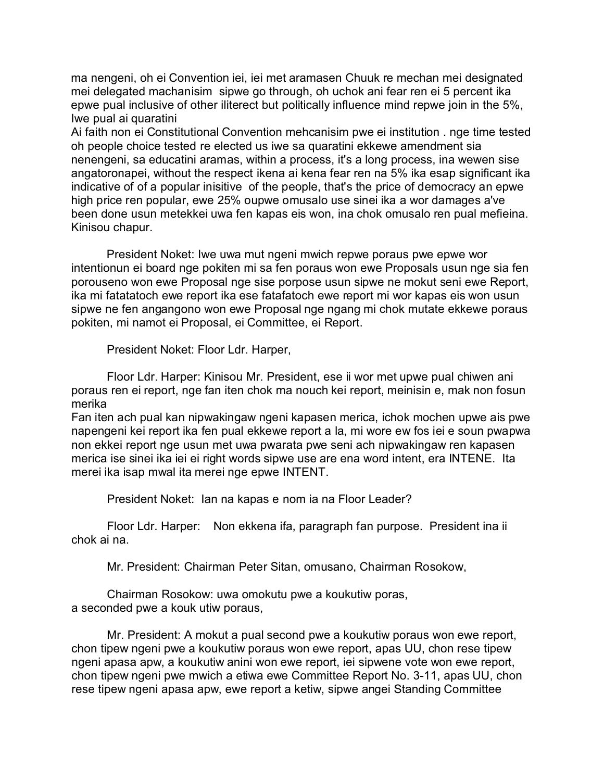ma nengeni, oh ei Convention iei, iei met aramasen Chuuk re mechan mei designated mei delegated machanisim sipwe go through, oh uchok ani fear ren ei 5 percent ika epwe pual inclusive of other iliterect but politically influence mind repwe join in the 5%, Iwe pual ai quaratini

Ai faith non ei Constitutional Convention mehcanisim pwe ei institution . nge time tested oh people choice tested re elected us iwe sa quaratini ekkewe amendment sia nenengeni, sa educatini aramas, within a process, it's a long process, ina wewen sise angatoronapei, without the respect ikena ai kena fear ren na 5% ika esap significant ika indicative of of a popular inisitive of the people, that's the price of democracy an epwe high price ren popular, ewe 25% oupwe omusalo use sinei ika a wor damages a've been done usun metekkei uwa fen kapas eis won, ina chok omusalo ren pual mefieina. Kinisou chapur.

President Noket: Iwe uwa mut ngeni mwich repwe poraus pwe epwe wor intentionun ei board nge pokiten mi sa fen poraus won ewe Proposals usun nge sia fen porouseno won ewe Proposal nge sise porpose usun sipwe ne mokut seni ewe Report, ika mi fatatatoch ewe report ika ese fatafatoch ewe report mi wor kapas eis won usun sipwe ne fen angangono won ewe Proposal nge ngang mi chok mutate ekkewe poraus pokiten, mi namot ei Proposal, ei Committee, ei Report.

President Noket: Floor Ldr. Harper,

Floor Ldr. Harper: Kinisou Mr. President, ese ii wor met upwe pual chiwen ani poraus ren ei report, nge fan iten chok ma nouch kei report, meinisin e, mak non fosun merika

Fan iten ach pual kan nipwakingaw ngeni kapasen merica, ichok mochen upwe ais pwe napengeni kei report ika fen pual ekkewe report a la, mi wore ew fos iei e soun pwapwa non ekkei report nge usun met uwa pwarata pwe seni ach nipwakingaw ren kapasen merica ise sinei ika iei ei right words sipwe use are ena word intent, era INTENE. Ita merei ika isap mwal ita merei nge epwe INTENT.

President Noket: Ian na kapas e nom ia na Floor Leader?

Floor Ldr. Harper: Non ekkena ifa, paragraph fan purpose. President ina ii chok ai na.

Mr. President: Chairman Peter Sitan, omusano, Chairman Rosokow,

Chairman Rosokow: uwa omokutu pwe a koukutiw poras, a seconded pwe a kouk utiw poraus,

Mr. President: A mokut a pual second pwe a koukutiw poraus won ewe report, chon tipew ngeni pwe a koukutiw poraus won ewe report, apas UU, chon rese tipew ngeni apasa apw, a koukutiw anini won ewe report, iei sipwene vote won ewe report, chon tipew ngeni pwe mwich a etiwa ewe Committee Report No. 3-11, apas UU, chon rese tipew ngeni apasa apw, ewe report a ketiw, sipwe angei Standing Committee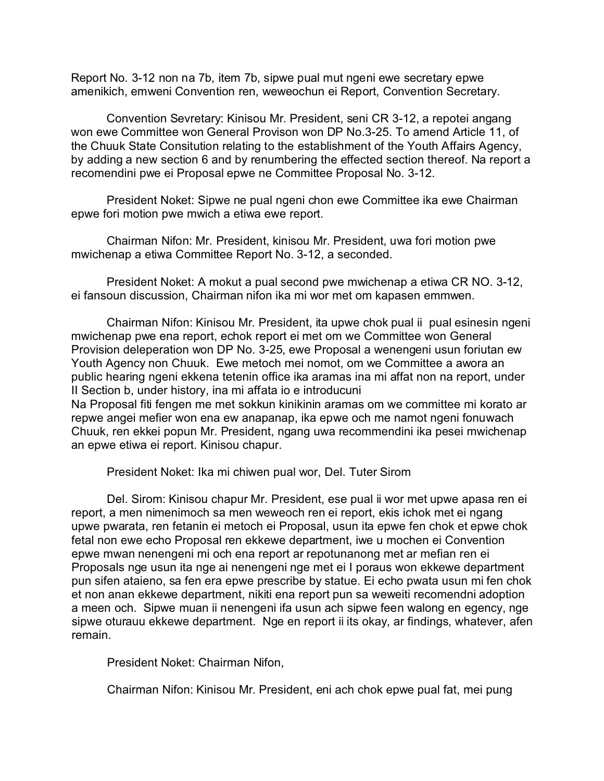Report No. 3-12 non na 7b, item 7b, sipwe pual mut ngeni ewe secretary epwe amenikich, emweni Convention ren, weweochun ei Report, Convention Secretary.

Convention Sevretary: Kinisou Mr. President, seni CR 3-12, a repotei angang won ewe Committee won General Provison won DP No.3-25. To amend Article 11, of the Chuuk State Consitution relating to the establishment of the Youth Affairs Agency, by adding a new section 6 and by renumbering the effected section thereof. Na report a recomendini pwe ei Proposal epwe ne Committee Proposal No. 3-12.

President Noket: Sipwe ne pual ngeni chon ewe Committee ika ewe Chairman epwe fori motion pwe mwich a etiwa ewe report.

Chairman Nifon: Mr. President, kinisou Mr. President, uwa fori motion pwe mwichenap a etiwa Committee Report No. 3-12, a seconded.

President Noket: A mokut a pual second pwe mwichenap a etiwa CR NO. 3-12, ei fansoun discussion, Chairman nifon ika mi wor met om kapasen emmwen.

Chairman Nifon: Kinisou Mr. President, ita upwe chok pual ii pual esinesin ngeni mwichenap pwe ena report, echok report ei met om we Committee won General Provision deleperation won DP No. 3-25, ewe Proposal a wenengeni usun foriutan ew Youth Agency non Chuuk. Ewe metoch mei nomot, om we Committee a awora an public hearing ngeni ekkena tetenin office ika aramas ina mi affat non na report, under II Section b, under history, ina mi affata io e introducuni Na Proposal fiti fengen me met sokkun kinikinin aramas om we committee mi korato ar repwe angei mefier won ena ew anapanap, ika epwe och me namot ngeni fonuwach

Chuuk, ren ekkei popun Mr. President, ngang uwa recommendini ika pesei mwichenap an epwe etiwa ei report. Kinisou chapur.

President Noket: Ika mi chiwen pual wor, Del. Tuter Sirom

Del. Sirom: Kinisou chapur Mr. President, ese pual ii wor met upwe apasa ren ei report, a men nimenimoch sa men weweoch ren ei report, ekis ichok met ei ngang upwe pwarata, ren fetanin ei metoch ei Proposal, usun ita epwe fen chok et epwe chok fetal non ewe echo Proposal ren ekkewe department, iwe u mochen ei Convention epwe mwan nenengeni mi och ena report ar repotunanong met ar mefian ren ei Proposals nge usun ita nge ai nenengeni nge met ei I poraus won ekkewe department pun sifen ataieno, sa fen era epwe prescribe by statue. Ei echo pwata usun mi fen chok et non anan ekkewe department, nikiti ena report pun sa weweiti recomendni adoption a meen och. Sipwe muan ii nenengeni ifa usun ach sipwe feen walong en egency, nge sipwe oturauu ekkewe department. Nge en report ii its okay, ar findings, whatever, afen remain.

President Noket: Chairman Nifon,

Chairman Nifon: Kinisou Mr. President, eni ach chok epwe pual fat, mei pung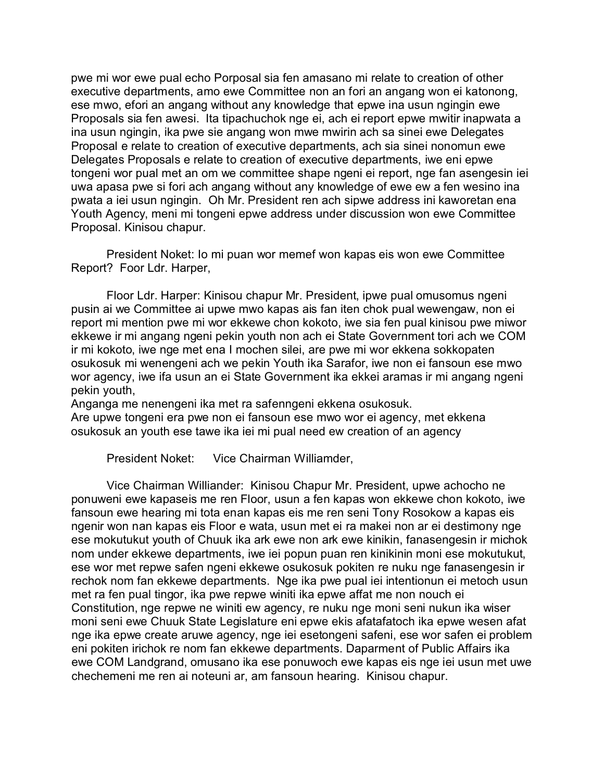pwe mi wor ewe pual echo Porposal sia fen amasano mi relate to creation of other executive departments, amo ewe Committee non an fori an angang won ei katonong, ese mwo, efori an angang without any knowledge that epwe ina usun ngingin ewe Proposals sia fen awesi. Ita tipachuchok nge ei, ach ei report epwe mwitir inapwata a ina usun ngingin, ika pwe sie angang won mwe mwirin ach sa sinei ewe Delegates Proposal e relate to creation of executive departments, ach sia sinei nonomun ewe Delegates Proposals e relate to creation of executive departments, iwe eni epwe tongeni wor pual met an om we committee shape ngeni ei report, nge fan asengesin iei uwa apasa pwe si fori ach angang without any knowledge of ewe ew a fen wesino ina pwata a iei usun ngingin. Oh Mr. President ren ach sipwe address ini kaworetan ena Youth Agency, meni mi tongeni epwe address under discussion won ewe Committee Proposal. Kinisou chapur.

President Noket: Io mi puan wor memef won kapas eis won ewe Committee Report? Foor Ldr. Harper,

Floor Ldr. Harper: Kinisou chapur Mr. President, ipwe pual omusomus ngeni pusin ai we Committee ai upwe mwo kapas ais fan iten chok pual wewengaw, non ei report mi mention pwe mi wor ekkewe chon kokoto, iwe sia fen pual kinisou pwe miwor ekkewe ir mi angang ngeni pekin youth non ach ei State Government tori ach we COM ir mi kokoto, iwe nge met ena I mochen silei, are pwe mi wor ekkena sokkopaten osukosuk mi wenengeni ach we pekin Youth ika Sarafor, iwe non ei fansoun ese mwo wor agency, iwe ifa usun an ei State Government ika ekkei aramas ir mi angang ngeni pekin youth,

Anganga me nenengeni ika met ra safenngeni ekkena osukosuk. Are upwe tongeni era pwe non ei fansoun ese mwo wor ei agency, met ekkena osukosuk an youth ese tawe ika iei mi pual need ew creation of an agency

President Noket: Vice Chairman Williamder,

Vice Chairman Williander: Kinisou Chapur Mr. President, upwe achocho ne ponuweni ewe kapaseis me ren Floor, usun a fen kapas won ekkewe chon kokoto, iwe fansoun ewe hearing mi tota enan kapas eis me ren seni Tony Rosokow a kapas eis ngenir won nan kapas eis Floor e wata, usun met ei ra makei non ar ei destimony nge ese mokutukut youth of Chuuk ika ark ewe non ark ewe kinikin, fanasengesin ir michok nom under ekkewe departments, iwe iei popun puan ren kinikinin moni ese mokutukut, ese wor met repwe safen ngeni ekkewe osukosuk pokiten re nuku nge fanasengesin ir rechok nom fan ekkewe departments. Nge ika pwe pual iei intentionun ei metoch usun met ra fen pual tingor, ika pwe repwe winiti ika epwe affat me non nouch ei Constitution, nge repwe ne winiti ew agency, re nuku nge moni seni nukun ika wiser moni seni ewe Chuuk State Legislature eni epwe ekis afatafatoch ika epwe wesen afat nge ika epwe create aruwe agency, nge iei esetongeni safeni, ese wor safen ei problem eni pokiten irichok re nom fan ekkewe departments. Daparment of Public Affairs ika ewe COM Landgrand, omusano ika ese ponuwoch ewe kapas eis nge iei usun met uwe chechemeni me ren ai noteuni ar, am fansoun hearing. Kinisou chapur.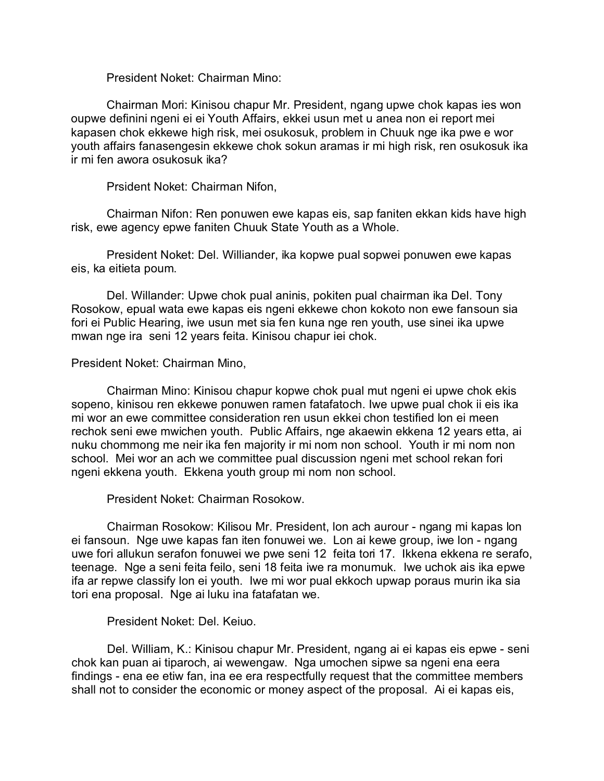President Noket: Chairman Mino:

Chairman Mori: Kinisou chapur Mr. President, ngang upwe chok kapas ies won oupwe definini ngeni ei ei Youth Affairs, ekkei usun met u anea non ei report mei kapasen chok ekkewe high risk, mei osukosuk, problem in Chuuk nge ika pwe e wor youth affairs fanasengesin ekkewe chok sokun aramas ir mi high risk, ren osukosuk ika ir mi fen awora osukosuk ika?

Prsident Noket: Chairman Nifon,

Chairman Nifon: Ren ponuwen ewe kapas eis, sap faniten ekkan kids have high risk, ewe agency epwe faniten Chuuk State Youth as a Whole.

President Noket: Del. Williander, ika kopwe pual sopwei ponuwen ewe kapas eis, ka eitieta poum.

Del. Willander: Upwe chok pual aninis, pokiten pual chairman ika Del. Tony Rosokow, epual wata ewe kapas eis ngeni ekkewe chon kokoto non ewe fansoun sia fori ei Public Hearing, iwe usun met sia fen kuna nge ren youth, use sinei ika upwe mwan nge ira seni 12 years feita. Kinisou chapur iei chok.

#### President Noket: Chairman Mino,

Chairman Mino: Kinisou chapur kopwe chok pual mut ngeni ei upwe chok ekis sopeno, kinisou ren ekkewe ponuwen ramen fatafatoch. Iwe upwe pual chok ii eis ika mi wor an ewe committee consideration ren usun ekkei chon testified lon ei meen rechok seni ewe mwichen youth. Public Affairs, nge akaewin ekkena 12 years etta, ai nuku chommong me neir ika fen majority ir mi nom non school. Youth ir mi nom non school. Mei wor an ach we committee pual discussion ngeni met school rekan fori ngeni ekkena youth. Ekkena youth group mi nom non school.

President Noket: Chairman Rosokow.

Chairman Rosokow: Kilisou Mr. President, lon ach aurour - ngang mi kapas lon ei fansoun. Nge uwe kapas fan iten fonuwei we. Lon ai kewe group, iwe lon - ngang uwe fori allukun serafon fonuwei we pwe seni 12 feita tori 17. Ikkena ekkena re serafo, teenage. Nge a seni feita feilo, seni 18 feita iwe ra monumuk. Iwe uchok ais ika epwe ifa ar repwe classify lon ei youth. Iwe mi wor pual ekkoch upwap poraus murin ika sia tori ena proposal. Nge ai luku ina fatafatan we.

#### President Noket: Del. Keiuo.

Del. William, K.: Kinisou chapur Mr. President, ngang ai ei kapas eis epwe - seni chok kan puan ai tiparoch, ai wewengaw. Nga umochen sipwe sa ngeni ena eera findings - ena ee etiw fan, ina ee era respectfully request that the committee members shall not to consider the economic or money aspect of the proposal. Ai ei kapas eis,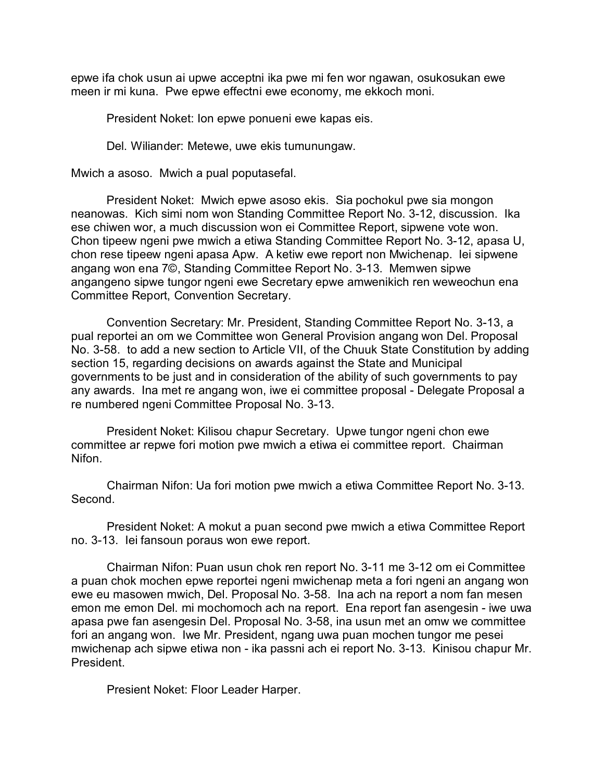epwe ifa chok usun ai upwe acceptni ika pwe mi fen wor ngawan, osukosukan ewe meen ir mi kuna. Pwe epwe effectni ewe economy, me ekkoch moni.

President Noket: Ion epwe ponueni ewe kapas eis.

Del. Wiliander: Metewe, uwe ekis tumunungaw.

Mwich a asoso. Mwich a pual poputasefal.

President Noket: Mwich epwe asoso ekis. Sia pochokul pwe sia mongon neanowas. Kich simi nom won Standing Committee Report No. 3-12, discussion. Ika ese chiwen wor, a much discussion won ei Committee Report, sipwene vote won. Chon tipeew ngeni pwe mwich a etiwa Standing Committee Report No. 3-12, apasa U, chon rese tipeew ngeni apasa Apw. A ketiw ewe report non Mwichenap. Iei sipwene angang won ena 7©, Standing Committee Report No. 3-13. Memwen sipwe angangeno sipwe tungor ngeni ewe Secretary epwe amwenikich ren weweochun ena Committee Report, Convention Secretary.

Convention Secretary: Mr. President, Standing Committee Report No. 3-13, a pual reportei an om we Committee won General Provision angang won Del. Proposal No. 3-58. to add a new section to Article VII, of the Chuuk State Constitution by adding section 15, regarding decisions on awards against the State and Municipal governments to be just and in consideration of the ability of such governments to pay any awards. Ina met re angang won, iwe ei committee proposal - Delegate Proposal a re numbered ngeni Committee Proposal No. 3-13.

President Noket: Kilisou chapur Secretary. Upwe tungor ngeni chon ewe committee ar repwe fori motion pwe mwich a etiwa ei committee report. Chairman Nifon.

Chairman Nifon: Ua fori motion pwe mwich a etiwa Committee Report No. 3-13. Second.

President Noket: A mokut a puan second pwe mwich a etiwa Committee Report no. 3-13. Iei fansoun poraus won ewe report.

Chairman Nifon: Puan usun chok ren report No. 3-11 me 3-12 om ei Committee a puan chok mochen epwe reportei ngeni mwichenap meta a fori ngeni an angang won ewe eu masowen mwich, Del. Proposal No. 3-58. Ina ach na report a nom fan mesen emon me emon Del. mi mochomoch ach na report. Ena report fan asengesin - iwe uwa apasa pwe fan asengesin Del. Proposal No. 3-58, ina usun met an omw we committee fori an angang won. Iwe Mr. President, ngang uwa puan mochen tungor me pesei mwichenap ach sipwe etiwa non - ika passni ach ei report No. 3-13. Kinisou chapur Mr. President.

Presient Noket: Floor Leader Harper.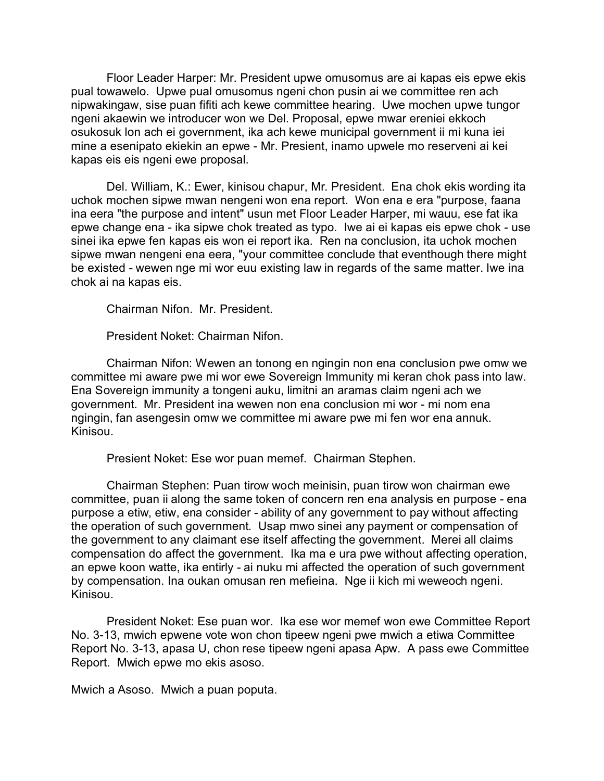Floor Leader Harper: Mr. President upwe omusomus are ai kapas eis epwe ekis pual towawelo. Upwe pual omusomus ngeni chon pusin ai we committee ren ach nipwakingaw, sise puan fifiti ach kewe committee hearing. Uwe mochen upwe tungor ngeni akaewin we introducer won we Del. Proposal, epwe mwar ereniei ekkoch osukosuk lon ach ei government, ika ach kewe municipal government ii mi kuna iei mine a esenipato ekiekin an epwe - Mr. Presient, inamo upwele mo reserveni ai kei kapas eis eis ngeni ewe proposal.

Del. William, K.: Ewer, kinisou chapur, Mr. President. Ena chok ekis wording ita uchok mochen sipwe mwan nengeni won ena report. Won ena e era "purpose, faana ina eera "the purpose and intent" usun met Floor Leader Harper, mi wauu, ese fat ika epwe change ena - ika sipwe chok treated as typo. Iwe ai ei kapas eis epwe chok - use sinei ika epwe fen kapas eis won ei report ika. Ren na conclusion, ita uchok mochen sipwe mwan nengeni ena eera, "your committee conclude that eventhough there might be existed - wewen nge mi wor euu existing law in regards of the same matter. Iwe ina chok ai na kapas eis.

Chairman Nifon. Mr. President.

President Noket: Chairman Nifon.

Chairman Nifon: Wewen an tonong en ngingin non ena conclusion pwe omw we committee mi aware pwe mi wor ewe Sovereign Immunity mi keran chok pass into law. Ena Sovereign immunity a tongeni auku, limitni an aramas claim ngeni ach we government. Mr. President ina wewen non ena conclusion mi wor - mi nom ena ngingin, fan asengesin omw we committee mi aware pwe mi fen wor ena annuk. Kinisou.

Presient Noket: Ese wor puan memef. Chairman Stephen.

Chairman Stephen: Puan tirow woch meinisin, puan tirow won chairman ewe committee, puan ii along the same token of concern ren ena analysis en purpose - ena purpose a etiw, etiw, ena consider - ability of any government to pay without affecting the operation of such government. Usap mwo sinei any payment or compensation of the government to any claimant ese itself affecting the government. Merei all claims compensation do affect the government. Ika ma e ura pwe without affecting operation, an epwe koon watte, ika entirly - ai nuku mi affected the operation of such government by compensation. Ina oukan omusan ren mefieina. Nge ii kich mi weweoch ngeni. Kinisou.

President Noket: Ese puan wor. Ika ese wor memef won ewe Committee Report No. 3-13, mwich epwene vote won chon tipeew ngeni pwe mwich a etiwa Committee Report No. 3-13, apasa U, chon rese tipeew ngeni apasa Apw. A pass ewe Committee Report. Mwich epwe mo ekis asoso.

Mwich a Asoso. Mwich a puan poputa.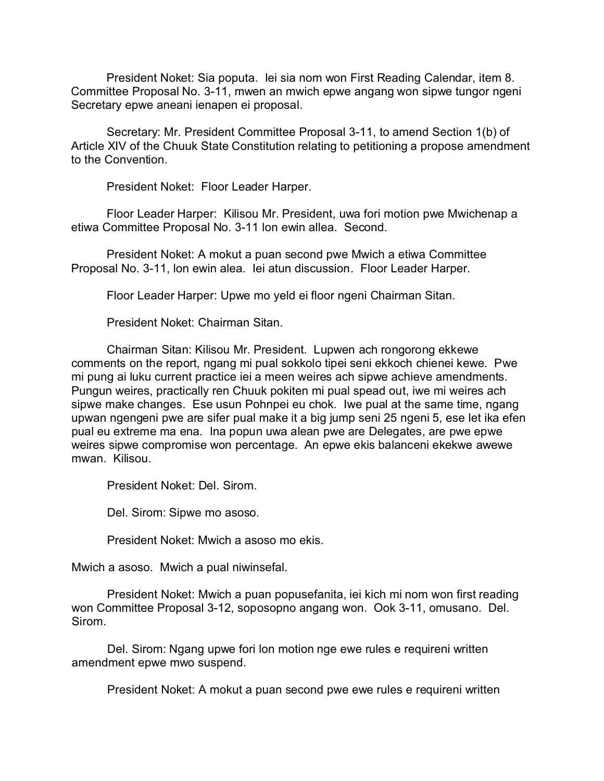President Noket: Sia poputa. Iei sia nom won First Reading Calendar, item 8. Committee Proposal No. 3-11, mwen an mwich epwe angang won sipwe tungor ngeni Secretary epwe aneani ienapen ei proposal.

Secretary: Mr. President Committee Proposal 3-11, to amend Section 1(b) of Article XIV of the Chuuk State Constitution relating to petitioning a propose amendment to the Convention.

President Noket: Floor Leader Harper.

Floor Leader Harper: Kilisou Mr. President, uwa fori motion pwe Mwichenap a etiwa Committee Proposal No. 3-11 lon ewin allea. Second.

President Noket: A mokut a puan second pwe Mwich a etiwa Committee Proposal No. 3-11, lon ewin alea. Iei atun discussion. Floor Leader Harper.

Floor Leader Harper: Upwe mo yeld ei floor ngeni Chairman Sitan.

President Noket: Chairman Sitan.

Chairman Sitan: Kilisou Mr. President. Lupwen ach rongorong ekkewe comments on the report, ngang mi pual sokkolo tipei seni ekkoch chienei kewe. Pwe mi pung ai luku current practice iei a meen weires ach sipwe achieve amendments. Pungun weires, practically ren Chuuk pokiten mi pual spead out, iwe mi weires ach sipwe make changes. Ese usun Pohnpei eu chok. Iwe pual at the same time, ngang upwan ngengeni pwe are sifer pual make it a big jump seni 25 ngeni 5, ese let ika efen pual eu extreme ma ena. Ina popun uwa alean pwe are Delegates, are pwe epwe weires sipwe compromise won percentage. An epwe ekis balanceni ekekwe awewe mwan. Kilisou.

President Noket: Del. Sirom.

Del. Sirom: Sipwe mo asoso.

President Noket: Mwich a asoso mo ekis.

Mwich a asoso. Mwich a pual niwinsefal.

President Noket: Mwich a puan popusefanita, iei kich mi nom won first reading won Committee Proposal 3-12, soposopno angang won. Ook 3-11, omusano. Del. Sirom.

Del. Sirom: Ngang upwe fori lon motion nge ewe rules e requireni written amendment epwe mwo suspend.

President Noket: A mokut a puan second pwe ewe rules e requireni written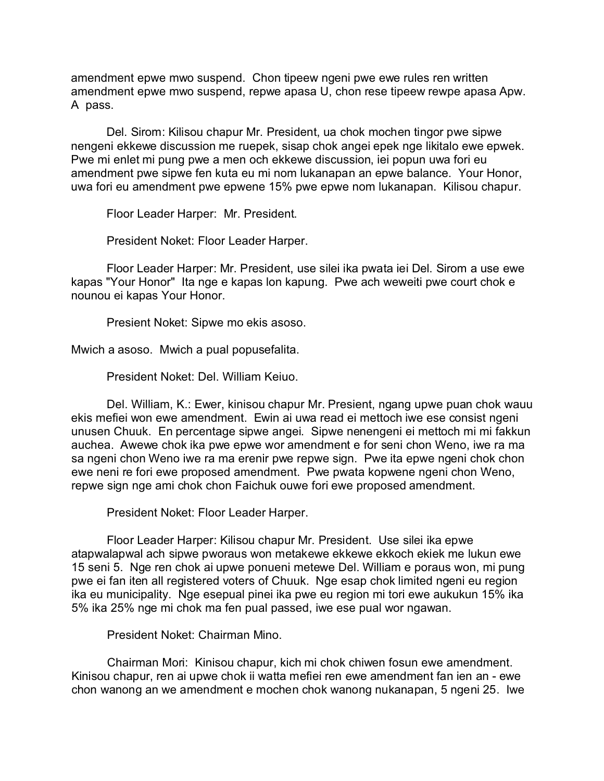amendment epwe mwo suspend. Chon tipeew ngeni pwe ewe rules ren written amendment epwe mwo suspend, repwe apasa U, chon rese tipeew rewpe apasa Apw. A pass.

Del. Sirom: Kilisou chapur Mr. President, ua chok mochen tingor pwe sipwe nengeni ekkewe discussion me ruepek, sisap chok angei epek nge likitalo ewe epwek. Pwe mi enlet mi pung pwe a men och ekkewe discussion, iei popun uwa fori eu amendment pwe sipwe fen kuta eu mi nom lukanapan an epwe balance. Your Honor, uwa fori eu amendment pwe epwene 15% pwe epwe nom lukanapan. Kilisou chapur.

Floor Leader Harper: Mr. President.

President Noket: Floor Leader Harper.

Floor Leader Harper: Mr. President, use silei ika pwata iei Del. Sirom a use ewe kapas "Your Honor" Ita nge e kapas lon kapung. Pwe ach weweiti pwe court chok e nounou ei kapas Your Honor.

Presient Noket: Sipwe mo ekis asoso.

Mwich a asoso. Mwich a pual popusefalita.

President Noket: Del. William Keiuo.

Del. William, K.: Ewer, kinisou chapur Mr. Presient, ngang upwe puan chok wauu ekis mefiei won ewe amendment. Ewin ai uwa read ei mettoch iwe ese consist ngeni unusen Chuuk. En percentage sipwe angei. Sipwe nenengeni ei mettoch mi mi fakkun auchea. Awewe chok ika pwe epwe wor amendment e for seni chon Weno, iwe ra ma sa ngeni chon Weno iwe ra ma erenir pwe repwe sign. Pwe ita epwe ngeni chok chon ewe neni re fori ewe proposed amendment. Pwe pwata kopwene ngeni chon Weno, repwe sign nge ami chok chon Faichuk ouwe fori ewe proposed amendment.

President Noket: Floor Leader Harper.

Floor Leader Harper: Kilisou chapur Mr. President. Use silei ika epwe atapwalapwal ach sipwe pworaus won metakewe ekkewe ekkoch ekiek me lukun ewe 15 seni 5. Nge ren chok ai upwe ponueni metewe Del. William e poraus won, mi pung pwe ei fan iten all registered voters of Chuuk. Nge esap chok limited ngeni eu region ika eu municipality. Nge esepual pinei ika pwe eu region mi tori ewe aukukun 15% ika 5% ika 25% nge mi chok ma fen pual passed, iwe ese pual wor ngawan.

President Noket: Chairman Mino.

Chairman Mori: Kinisou chapur, kich mi chok chiwen fosun ewe amendment. Kinisou chapur, ren ai upwe chok ii watta mefiei ren ewe amendment fan ien an - ewe chon wanong an we amendment e mochen chok wanong nukanapan, 5 ngeni 25. Iwe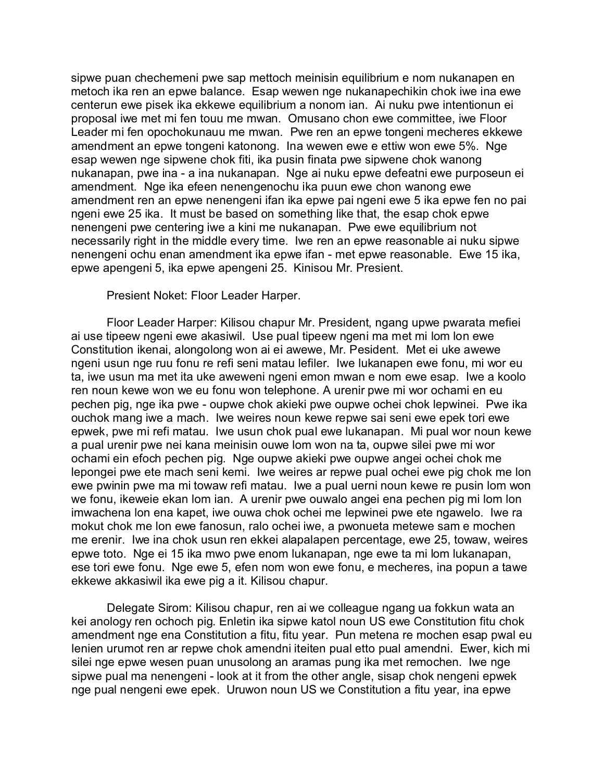sipwe puan chechemeni pwe sap mettoch meinisin equilibrium e nom nukanapen en metoch ika ren an epwe balance. Esap wewen nge nukanapechikin chok iwe ina ewe centerun ewe pisek ika ekkewe equilibrium a nonom ian. Ai nuku pwe intentionun ei proposal iwe met mi fen touu me mwan. Omusano chon ewe committee, iwe Floor Leader mi fen opochokunauu me mwan. Pwe ren an epwe tongeni mecheres ekkewe amendment an epwe tongeni katonong. Ina wewen ewe e ettiw won ewe 5%. Nge esap wewen nge sipwene chok fiti, ika pusin finata pwe sipwene chok wanong nukanapan, pwe ina - a ina nukanapan. Nge ai nuku epwe defeatni ewe purposeun ei amendment. Nge ika efeen nenengenochu ika puun ewe chon wanong ewe amendment ren an epwe nenengeni ifan ika epwe pai ngeni ewe 5 ika epwe fen no pai ngeni ewe 25 ika. It must be based on something like that, the esap chok epwe nenengeni pwe centering iwe a kini me nukanapan. Pwe ewe equilibrium not necessarily right in the middle every time. Iwe ren an epwe reasonable ai nuku sipwe nenengeni ochu enan amendment ika epwe ifan - met epwe reasonable. Ewe 15 ika, epwe apengeni 5, ika epwe apengeni 25. Kinisou Mr. Presient.

Presient Noket: Floor Leader Harper.

Floor Leader Harper: Kilisou chapur Mr. President, ngang upwe pwarata mefiei ai use tipeew ngeni ewe akasiwil. Use pual tipeew ngeni ma met mi lom lon ewe Constitution ikenai, alongolong won ai ei awewe, Mr. Pesident. Met ei uke awewe ngeni usun nge ruu fonu re refi seni matau lefiler. Iwe lukanapen ewe fonu, mi wor eu ta, iwe usun ma met ita uke aweweni ngeni emon mwan e nom ewe esap. Iwe a koolo ren noun kewe won we eu fonu won telephone. A urenir pwe mi wor ochami en eu pechen pig, nge ika pwe - oupwe chok akieki pwe oupwe ochei chok lepwinei. Pwe ika ouchok mang iwe a mach. Iwe weires noun kewe repwe sai seni ewe epek tori ewe epwek, pwe mi refi matau. Iwe usun chok pual ewe lukanapan. Mi pual wor noun kewe a pual urenir pwe nei kana meinisin ouwe lom won na ta, oupwe silei pwe mi wor ochami ein efoch pechen pig. Nge oupwe akieki pwe oupwe angei ochei chok me lepongei pwe ete mach seni kemi. Iwe weires ar repwe pual ochei ewe pig chok me lon ewe pwinin pwe ma mi towaw refi matau. Iwe a pual uerni noun kewe re pusin lom won we fonu, ikeweie ekan lom ian. A urenir pwe ouwalo angei ena pechen pig mi lom lon imwachena lon ena kapet, iwe ouwa chok ochei me lepwinei pwe ete ngawelo. Iwe ra mokut chok me lon ewe fanosun, ralo ochei iwe, a pwonueta metewe sam e mochen me erenir. Iwe ina chok usun ren ekkei alapalapen percentage, ewe 25, towaw, weires epwe toto. Nge ei 15 ika mwo pwe enom lukanapan, nge ewe ta mi lom lukanapan, ese tori ewe fonu. Nge ewe 5, efen nom won ewe fonu, e mecheres, ina popun a tawe ekkewe akkasiwil ika ewe pig a it. Kilisou chapur.

Delegate Sirom: Kilisou chapur, ren ai we colleague ngang ua fokkun wata an kei anology ren ochoch pig. Enletin ika sipwe katol noun US ewe Constitution fitu chok amendment nge ena Constitution a fitu, fitu year. Pun metena re mochen esap pwal eu lenien urumot ren ar repwe chok amendni iteiten pual etto pual amendni. Ewer, kich mi silei nge epwe wesen puan unusolong an aramas pung ika met remochen. Iwe nge sipwe pual ma nenengeni - look at it from the other angle, sisap chok nengeni epwek nge pual nengeni ewe epek. Uruwon noun US we Constitution a fitu year, ina epwe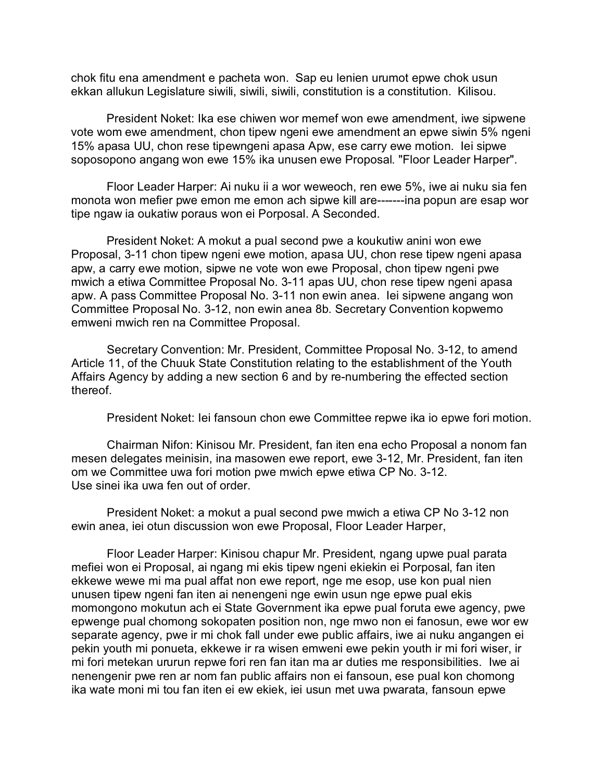chok fitu ena amendment e pacheta won. Sap eu lenien urumot epwe chok usun ekkan allukun Legislature siwili, siwili, siwili, constitution is a constitution. Kilisou.

President Noket: Ika ese chiwen wor memef won ewe amendment, iwe sipwene vote wom ewe amendment, chon tipew ngeni ewe amendment an epwe siwin 5% ngeni 15% apasa UU, chon rese tipewngeni apasa Apw, ese carry ewe motion. Iei sipwe soposopono angang won ewe 15% ika unusen ewe Proposal. "Floor Leader Harper".

Floor Leader Harper: Ai nuku ii a wor weweoch, ren ewe 5%, iwe ai nuku sia fen monota won mefier pwe emon me emon ach sipwe kill are-------ina popun are esap wor tipe ngaw ia oukatiw poraus won ei Porposal. A Seconded.

President Noket: A mokut a pual second pwe a koukutiw anini won ewe Proposal, 3-11 chon tipew ngeni ewe motion, apasa UU, chon rese tipew ngeni apasa apw, a carry ewe motion, sipwe ne vote won ewe Proposal, chon tipew ngeni pwe mwich a etiwa Committee Proposal No. 3-11 apas UU, chon rese tipew ngeni apasa apw. A pass Committee Proposal No. 3-11 non ewin anea. Iei sipwene angang won Committee Proposal No. 3-12, non ewin anea 8b. Secretary Convention kopwemo emweni mwich ren na Committee Proposal.

Secretary Convention: Mr. President, Committee Proposal No. 3-12, to amend Article 11, of the Chuuk State Constitution relating to the establishment of the Youth Affairs Agency by adding a new section 6 and by re-numbering the effected section thereof.

President Noket: Iei fansoun chon ewe Committee repwe ika io epwe fori motion.

Chairman Nifon: Kinisou Mr. President, fan iten ena echo Proposal a nonom fan mesen delegates meinisin, ina masowen ewe report, ewe 3-12, Mr. President, fan iten om we Committee uwa fori motion pwe mwich epwe etiwa CP No. 3-12. Use sinei ika uwa fen out of order.

President Noket: a mokut a pual second pwe mwich a etiwa CP No 3-12 non ewin anea, iei otun discussion won ewe Proposal, Floor Leader Harper,

Floor Leader Harper: Kinisou chapur Mr. President, ngang upwe pual parata mefiei won ei Proposal, ai ngang mi ekis tipew ngeni ekiekin ei Porposal, fan iten ekkewe wewe mi ma pual affat non ewe report, nge me esop, use kon pual nien unusen tipew ngeni fan iten ai nenengeni nge ewin usun nge epwe pual ekis momongono mokutun ach ei State Government ika epwe pual foruta ewe agency, pwe epwenge pual chomong sokopaten position non, nge mwo non ei fanosun, ewe wor ew separate agency, pwe ir mi chok fall under ewe public affairs, iwe ai nuku angangen ei pekin youth mi ponueta, ekkewe ir ra wisen emweni ewe pekin youth ir mi fori wiser, ir mi fori metekan ururun repwe fori ren fan itan ma ar duties me responsibilities. Iwe ai nenengenir pwe ren ar nom fan public affairs non ei fansoun, ese pual kon chomong ika wate moni mi tou fan iten ei ew ekiek, iei usun met uwa pwarata, fansoun epwe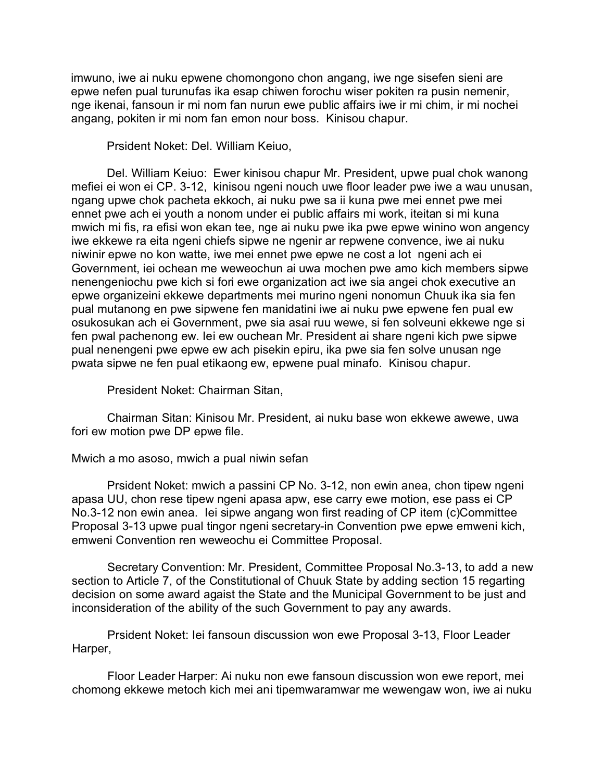imwuno, iwe ai nuku epwene chomongono chon angang, iwe nge sisefen sieni are epwe nefen pual turunufas ika esap chiwen forochu wiser pokiten ra pusin nemenir, nge ikenai, fansoun ir mi nom fan nurun ewe public affairs iwe ir mi chim, ir mi nochei angang, pokiten ir mi nom fan emon nour boss. Kinisou chapur.

Prsident Noket: Del. William Keiuo,

Del. William Keiuo: Ewer kinisou chapur Mr. President, upwe pual chok wanong mefiei ei won ei CP. 3-12, kinisou ngeni nouch uwe floor leader pwe iwe a wau unusan, ngang upwe chok pacheta ekkoch, ai nuku pwe sa ii kuna pwe mei ennet pwe mei ennet pwe ach ei youth a nonom under ei public affairs mi work, iteitan si mi kuna mwich mi fis, ra efisi won ekan tee, nge ai nuku pwe ika pwe epwe winino won angency iwe ekkewe ra eita ngeni chiefs sipwe ne ngenir ar repwene convence, iwe ai nuku niwinir epwe no kon watte, iwe mei ennet pwe epwe ne cost a lot ngeni ach ei Government, iei ochean me weweochun ai uwa mochen pwe amo kich members sipwe nenengeniochu pwe kich si fori ewe organization act iwe sia angei chok executive an epwe organizeini ekkewe departments mei murino ngeni nonomun Chuuk ika sia fen pual mutanong en pwe sipwene fen manidatini iwe ai nuku pwe epwene fen pual ew osukosukan ach ei Government, pwe sia asai ruu wewe, si fen solveuni ekkewe nge si fen pwal pachenong ew. Iei ew ouchean Mr. President ai share ngeni kich pwe sipwe pual nenengeni pwe epwe ew ach pisekin epiru, ika pwe sia fen solve unusan nge pwata sipwe ne fen pual etikaong ew, epwene pual minafo. Kinisou chapur.

President Noket: Chairman Sitan,

Chairman Sitan: Kinisou Mr. President, ai nuku base won ekkewe awewe, uwa fori ew motion pwe DP epwe file.

Mwich a mo asoso, mwich a pual niwin sefan

Prsident Noket: mwich a passini CP No. 3-12, non ewin anea, chon tipew ngeni apasa UU, chon rese tipew ngeni apasa apw, ese carry ewe motion, ese pass ei CP No.3-12 non ewin anea. Iei sipwe angang won first reading of CP item (c)Committee Proposal 3-13 upwe pual tingor ngeni secretary-in Convention pwe epwe emweni kich, emweni Convention ren weweochu ei Committee Proposal.

Secretary Convention: Mr. President, Committee Proposal No.3-13, to add a new section to Article 7, of the Constitutional of Chuuk State by adding section 15 regarting decision on some award agaist the State and the Municipal Government to be just and inconsideration of the ability of the such Government to pay any awards.

Prsident Noket: Iei fansoun discussion won ewe Proposal 3-13, Floor Leader Harper,

Floor Leader Harper: Ai nuku non ewe fansoun discussion won ewe report, mei chomong ekkewe metoch kich mei ani tipemwaramwar me wewengaw won, iwe ai nuku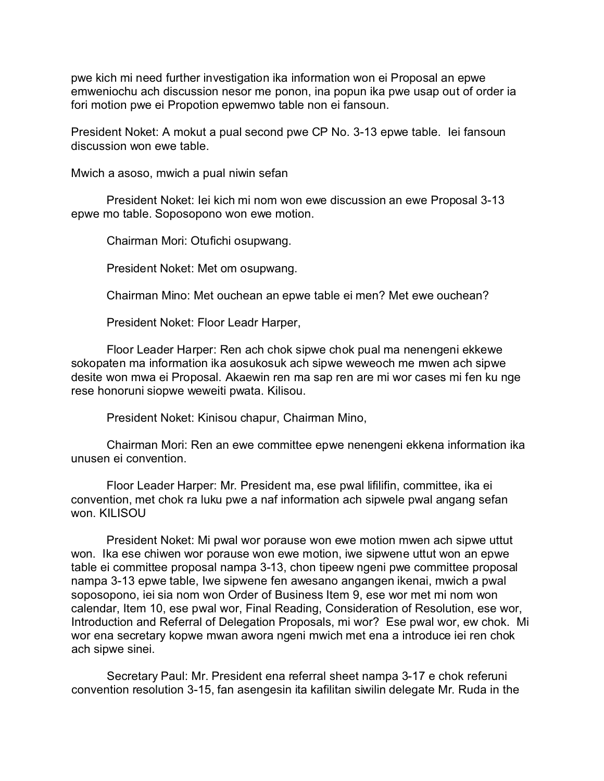pwe kich mi need further investigation ika information won ei Proposal an epwe emweniochu ach discussion nesor me ponon, ina popun ika pwe usap out of order ia fori motion pwe ei Propotion epwemwo table non ei fansoun.

President Noket: A mokut a pual second pwe CP No. 3-13 epwe table. Iei fansoun discussion won ewe table.

Mwich a asoso, mwich a pual niwin sefan

President Noket: Iei kich mi nom won ewe discussion an ewe Proposal 3-13 epwe mo table. Soposopono won ewe motion.

Chairman Mori: Otufichi osupwang.

President Noket: Met om osupwang.

Chairman Mino: Met ouchean an epwe table ei men? Met ewe ouchean?

President Noket: Floor Leadr Harper,

Floor Leader Harper: Ren ach chok sipwe chok pual ma nenengeni ekkewe sokopaten ma information ika aosukosuk ach sipwe weweoch me mwen ach sipwe desite won mwa ei Proposal. Akaewin ren ma sap ren are mi wor cases mi fen ku nge rese honoruni siopwe weweiti pwata. Kilisou.

President Noket: Kinisou chapur, Chairman Mino,

Chairman Mori: Ren an ewe committee epwe nenengeni ekkena information ika unusen ei convention.

Floor Leader Harper: Mr. President ma, ese pwal lifilifin, committee, ika ei convention, met chok ra luku pwe a naf information ach sipwele pwal angang sefan won. KILISOU

President Noket: Mi pwal wor porause won ewe motion mwen ach sipwe uttut won. Ika ese chiwen wor porause won ewe motion, iwe sipwene uttut won an epwe table ei committee proposal nampa 3-13, chon tipeew ngeni pwe committee proposal nampa 3-13 epwe table, Iwe sipwene fen awesano angangen ikenai, mwich a pwal soposopono, iei sia nom won Order of Business Item 9, ese wor met mi nom won calendar, Item 10, ese pwal wor, Final Reading, Consideration of Resolution, ese wor, Introduction and Referral of Delegation Proposals, mi wor? Ese pwal wor, ew chok. Mi wor ena secretary kopwe mwan awora ngeni mwich met ena a introduce iei ren chok ach sipwe sinei.

Secretary Paul: Mr. President ena referral sheet nampa 3-17 e chok referuni convention resolution 3-15, fan asengesin ita kafilitan siwilin delegate Mr. Ruda in the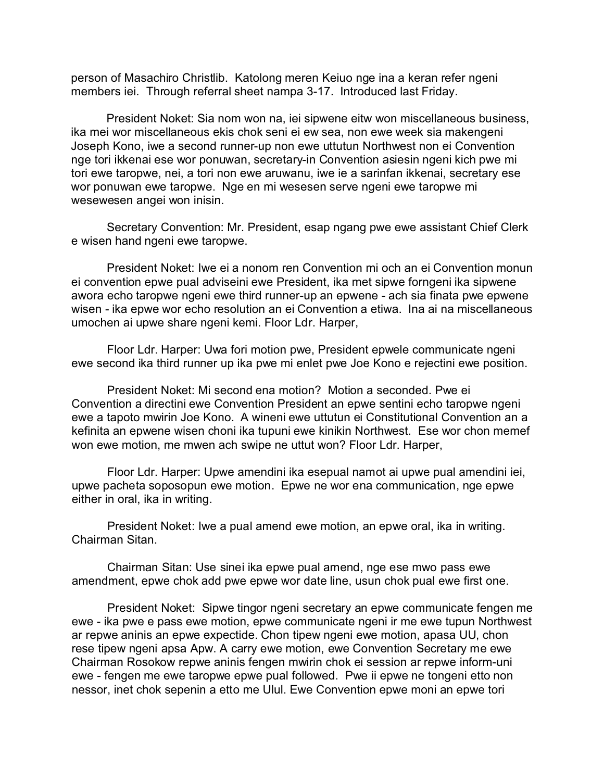person of Masachiro Christlib. Katolong meren Keiuo nge ina a keran refer ngeni members iei. Through referral sheet nampa 3-17. Introduced last Friday.

President Noket: Sia nom won na, iei sipwene eitw won miscellaneous business, ika mei wor miscellaneous ekis chok seni ei ew sea, non ewe week sia makengeni Joseph Kono, iwe a second runner-up non ewe uttutun Northwest non ei Convention nge tori ikkenai ese wor ponuwan, secretary-in Convention asiesin ngeni kich pwe mi tori ewe taropwe, nei, a tori non ewe aruwanu, iwe ie a sarinfan ikkenai, secretary ese wor ponuwan ewe taropwe. Nge en mi wesesen serve ngeni ewe taropwe mi wesewesen angei won inisin.

Secretary Convention: Mr. President, esap ngang pwe ewe assistant Chief Clerk e wisen hand ngeni ewe taropwe.

President Noket: Iwe ei a nonom ren Convention mi och an ei Convention monun ei convention epwe pual adviseini ewe President, ika met sipwe forngeni ika sipwene awora echo taropwe ngeni ewe third runner-up an epwene - ach sia finata pwe epwene wisen - ika epwe wor echo resolution an ei Convention a etiwa. Ina ai na miscellaneous umochen ai upwe share ngeni kemi. Floor Ldr. Harper,

Floor Ldr. Harper: Uwa fori motion pwe, President epwele communicate ngeni ewe second ika third runner up ika pwe mi enlet pwe Joe Kono e rejectini ewe position.

President Noket: Mi second ena motion? Motion a seconded. Pwe ei Convention a directini ewe Convention President an epwe sentini echo taropwe ngeni ewe a tapoto mwirin Joe Kono. A wineni ewe uttutun ei Constitutional Convention an a kefinita an epwene wisen choni ika tupuni ewe kinikin Northwest. Ese wor chon memef won ewe motion, me mwen ach swipe ne uttut won? Floor Ldr. Harper,

Floor Ldr. Harper: Upwe amendini ika esepual namot ai upwe pual amendini iei, upwe pacheta soposopun ewe motion. Epwe ne wor ena communication, nge epwe either in oral, ika in writing.

President Noket: Iwe a pual amend ewe motion, an epwe oral, ika in writing. Chairman Sitan.

Chairman Sitan: Use sinei ika epwe pual amend, nge ese mwo pass ewe amendment, epwe chok add pwe epwe wor date line, usun chok pual ewe first one.

President Noket: Sipwe tingor ngeni secretary an epwe communicate fengen me ewe - ika pwe e pass ewe motion, epwe communicate ngeni ir me ewe tupun Northwest ar repwe aninis an epwe expectide. Chon tipew ngeni ewe motion, apasa UU, chon rese tipew ngeni apsa Apw. A carry ewe motion, ewe Convention Secretary me ewe Chairman Rosokow repwe aninis fengen mwirin chok ei session ar repwe inform-uni ewe - fengen me ewe taropwe epwe pual followed. Pwe ii epwe ne tongeni etto non nessor, inet chok sepenin a etto me Ulul. Ewe Convention epwe moni an epwe tori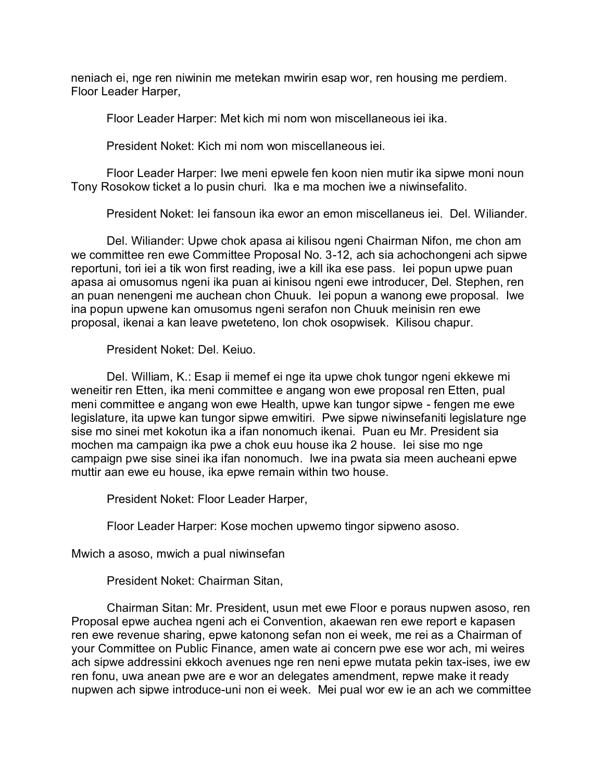neniach ei, nge ren niwinin me metekan mwirin esap wor, ren housing me perdiem. Floor Leader Harper,

Floor Leader Harper: Met kich mi nom won miscellaneous iei ika.

President Noket: Kich mi nom won miscellaneous iei.

Floor Leader Harper: Iwe meni epwele fen koon nien mutir ika sipwe moni noun Tony Rosokow ticket a lo pusin churi. Ika e ma mochen iwe a niwinsefalito.

President Noket: Iei fansoun ika ewor an emon miscellaneus iei. Del. Wiliander.

Del. Wiliander: Upwe chok apasa ai kilisou ngeni Chairman Nifon, me chon am we committee ren ewe Committee Proposal No. 3-12, ach sia achochongeni ach sipwe reportuni, tori iei a tik won first reading, iwe a kill ika ese pass. Iei popun upwe puan apasa ai omusomus ngeni ika puan ai kinisou ngeni ewe introducer, Del. Stephen, ren an puan nenengeni me auchean chon Chuuk. Iei popun a wanong ewe proposal. Iwe ina popun upwene kan omusomus ngeni serafon non Chuuk meinisin ren ewe proposal, ikenai a kan leave pweteteno, lon chok osopwisek. Kilisou chapur.

President Noket: Del. Keiuo.

Del. William, K.: Esap ii memef ei nge ita upwe chok tungor ngeni ekkewe mi weneitir ren Etten, ika meni committee e angang won ewe proposal ren Etten, pual meni committee e angang won ewe Health, upwe kan tungor sipwe - fengen me ewe legislature, ita upwe kan tungor sipwe emwitiri. Pwe sipwe niwinsefaniti legislature nge sise mo sinei met kokotun ika a ifan nonomuch ikenai. Puan eu Mr. President sia mochen ma campaign ika pwe a chok euu house ika 2 house. Iei sise mo nge campaign pwe sise sinei ika ifan nonomuch. Iwe ina pwata sia meen aucheani epwe muttir aan ewe eu house, ika epwe remain within two house.

President Noket: Floor Leader Harper,

Floor Leader Harper: Kose mochen upwemo tingor sipweno asoso.

Mwich a asoso, mwich a pual niwinsefan

President Noket: Chairman Sitan,

Chairman Sitan: Mr. President, usun met ewe Floor e poraus nupwen asoso, ren Proposal epwe auchea ngeni ach ei Convention, akaewan ren ewe report e kapasen ren ewe revenue sharing, epwe katonong sefan non ei week, me rei as a Chairman of your Committee on Public Finance, amen wate ai concern pwe ese wor ach, mi weires ach sipwe addressini ekkoch avenues nge ren neni epwe mutata pekin tax-ises, iwe ew ren fonu, uwa anean pwe are e wor an delegates amendment, repwe make it ready nupwen ach sipwe introduce-uni non ei week. Mei pual wor ew ie an ach we committee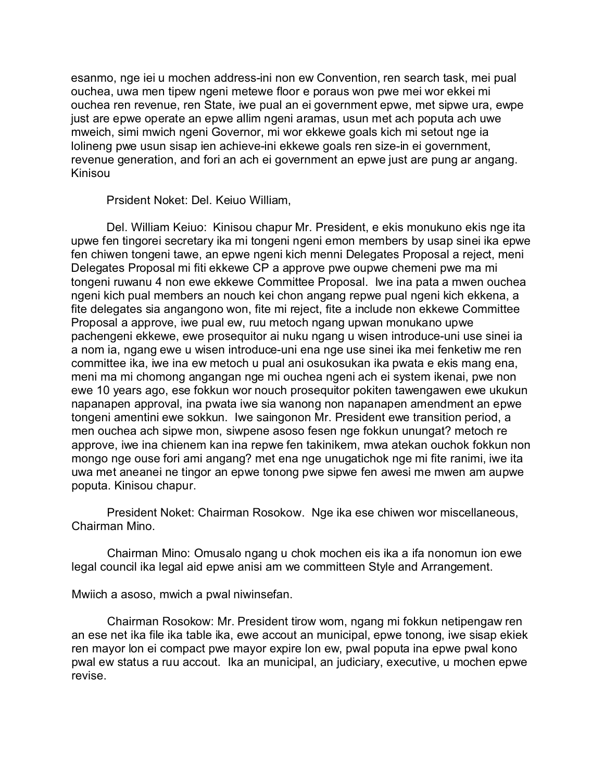esanmo, nge iei u mochen address-ini non ew Convention, ren search task, mei pual ouchea, uwa men tipew ngeni metewe floor e poraus won pwe mei wor ekkei mi ouchea ren revenue, ren State, iwe pual an ei government epwe, met sipwe ura, ewpe just are epwe operate an epwe allim ngeni aramas, usun met ach poputa ach uwe mweich, simi mwich ngeni Governor, mi wor ekkewe goals kich mi setout nge ia lolineng pwe usun sisap ien achieve-ini ekkewe goals ren size-in ei government, revenue generation, and fori an ach ei government an epwe just are pung ar angang. Kinisou

Prsident Noket: Del. Keiuo William,

Del. William Keiuo: Kinisou chapur Mr. President, e ekis monukuno ekis nge ita upwe fen tingorei secretary ika mi tongeni ngeni emon members by usap sinei ika epwe fen chiwen tongeni tawe, an epwe ngeni kich menni Delegates Proposal a reject, meni Delegates Proposal mi fiti ekkewe CP a approve pwe oupwe chemeni pwe ma mi tongeni ruwanu 4 non ewe ekkewe Committee Proposal. Iwe ina pata a mwen ouchea ngeni kich pual members an nouch kei chon angang repwe pual ngeni kich ekkena, a fite delegates sia angangono won, fite mi reject, fite a include non ekkewe Committee Proposal a approve, iwe pual ew, ruu metoch ngang upwan monukano upwe pachengeni ekkewe, ewe prosequitor ai nuku ngang u wisen introduce-uni use sinei ia a nom ia, ngang ewe u wisen introduce-uni ena nge use sinei ika mei fenketiw me ren committee ika, iwe ina ew metoch u pual ani osukosukan ika pwata e ekis mang ena, meni ma mi chomong angangan nge mi ouchea ngeni ach ei system ikenai, pwe non ewe 10 years ago, ese fokkun wor nouch prosequitor pokiten tawengawen ewe ukukun napanapen approval, ina pwata iwe sia wanong non napanapen amendment an epwe tongeni amentini ewe sokkun. Iwe saingonon Mr. President ewe transition period, a men ouchea ach sipwe mon, siwpene asoso fesen nge fokkun unungat? metoch re approve, iwe ina chienem kan ina repwe fen takinikem, mwa atekan ouchok fokkun non mongo nge ouse fori ami angang? met ena nge unugatichok nge mi fite ranimi, iwe ita uwa met aneanei ne tingor an epwe tonong pwe sipwe fen awesi me mwen am aupwe poputa. Kinisou chapur.

President Noket: Chairman Rosokow. Nge ika ese chiwen wor miscellaneous, Chairman Mino.

Chairman Mino: Omusalo ngang u chok mochen eis ika a ifa nonomun ion ewe legal council ika legal aid epwe anisi am we committeen Style and Arrangement.

Mwiich a asoso, mwich a pwal niwinsefan.

Chairman Rosokow: Mr. President tirow wom, ngang mi fokkun netipengaw ren an ese net ika file ika table ika, ewe accout an municipal, epwe tonong, iwe sisap ekiek ren mayor lon ei compact pwe mayor expire lon ew, pwal poputa ina epwe pwal kono pwal ew status a ruu accout. Ika an municipal, an judiciary, executive, u mochen epwe revise.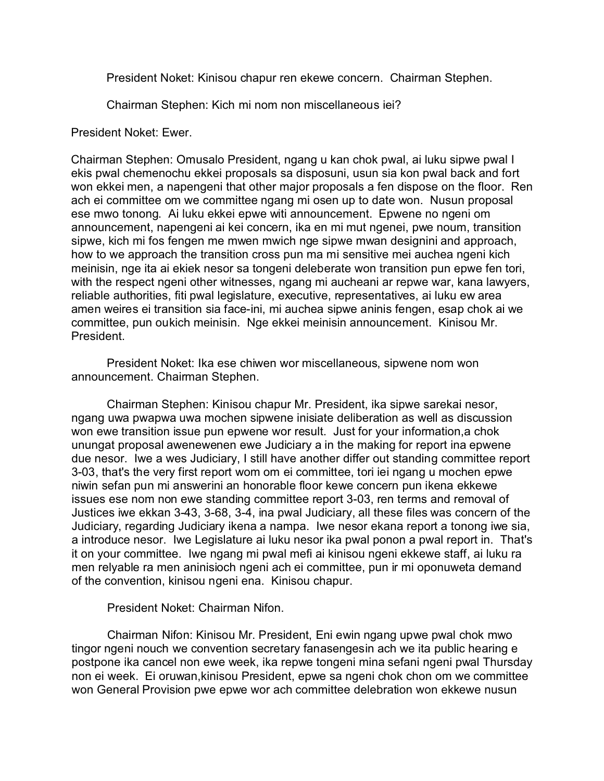President Noket: Kinisou chapur ren ekewe concern. Chairman Stephen.

Chairman Stephen: Kich mi nom non miscellaneous iei?

President Noket: Ewer.

Chairman Stephen: Omusalo President, ngang u kan chok pwal, ai luku sipwe pwal I ekis pwal chemenochu ekkei proposals sa disposuni, usun sia kon pwal back and fort won ekkei men, a napengeni that other major proposals a fen dispose on the floor. Ren ach ei committee om we committee ngang mi osen up to date won. Nusun proposal ese mwo tonong. Ai luku ekkei epwe witi announcement. Epwene no ngeni om announcement, napengeni ai kei concern, ika en mi mut ngenei, pwe noum, transition sipwe, kich mi fos fengen me mwen mwich nge sipwe mwan designini and approach, how to we approach the transition cross pun ma mi sensitive mei auchea ngeni kich meinisin, nge ita ai ekiek nesor sa tongeni deleberate won transition pun epwe fen tori, with the respect ngeni other witnesses, ngang mi aucheani ar repwe war, kana lawyers, reliable authorities, fiti pwal legislature, executive, representatives, ai luku ew area amen weires ei transition sia face-ini, mi auchea sipwe aninis fengen, esap chok ai we committee, pun oukich meinisin. Nge ekkei meinisin announcement. Kinisou Mr. President.

President Noket: Ika ese chiwen wor miscellaneous, sipwene nom won announcement. Chairman Stephen.

Chairman Stephen: Kinisou chapur Mr. President, ika sipwe sarekai nesor, ngang uwa pwapwa uwa mochen sipwene inisiate deliberation as well as discussion won ewe transition issue pun epwene wor result. Just for your information,a chok unungat proposal awenewenen ewe Judiciary a in the making for report ina epwene due nesor. Iwe a wes Judiciary, I still have another differ out standing committee report 3-03, that's the very first report wom om ei committee, tori iei ngang u mochen epwe niwin sefan pun mi answerini an honorable floor kewe concern pun ikena ekkewe issues ese nom non ewe standing committee report 3-03, ren terms and removal of Justices iwe ekkan 3-43, 3-68, 3-4, ina pwal Judiciary, all these files was concern of the Judiciary, regarding Judiciary ikena a nampa. Iwe nesor ekana report a tonong iwe sia, a introduce nesor. Iwe Legislature ai luku nesor ika pwal ponon a pwal report in. That's it on your committee. Iwe ngang mi pwal mefi ai kinisou ngeni ekkewe staff, ai luku ra men relyable ra men aninisioch ngeni ach ei committee, pun ir mi oponuweta demand of the convention, kinisou ngeni ena. Kinisou chapur.

President Noket: Chairman Nifon.

Chairman Nifon: Kinisou Mr. President, Eni ewin ngang upwe pwal chok mwo tingor ngeni nouch we convention secretary fanasengesin ach we ita public hearing e postpone ika cancel non ewe week, ika repwe tongeni mina sefani ngeni pwal Thursday non ei week. Ei oruwan,kinisou President, epwe sa ngeni chok chon om we committee won General Provision pwe epwe wor ach committee delebration won ekkewe nusun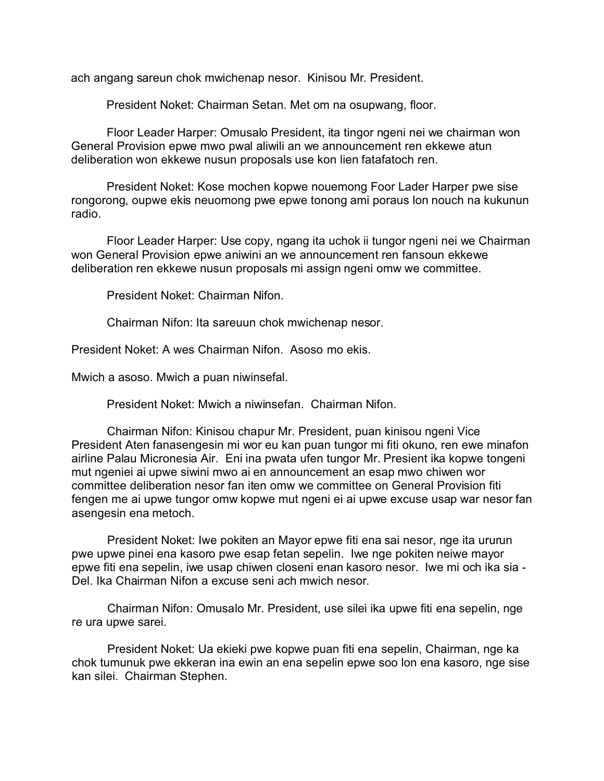ach angang sareun chok mwichenap nesor. Kinisou Mr. President.

President Noket: Chairman Setan. Met om na osupwang, floor.

Floor Leader Harper: Omusalo President, ita tingor ngeni nei we chairman won General Provision epwe mwo pwal aliwili an we announcement ren ekkewe atun deliberation won ekkewe nusun proposals use kon lien fatafatoch ren.

President Noket: Kose mochen kopwe nouemong Foor Lader Harper pwe sise rongorong, oupwe ekis neuomong pwe epwe tonong ami poraus lon nouch na kukunun radio.

Floor Leader Harper: Use copy, ngang ita uchok ii tungor ngeni nei we Chairman won General Provision epwe aniwini an we announcement ren fansoun ekkewe deliberation ren ekkewe nusun proposals mi assign ngeni omw we committee.

President Noket: Chairman Nifon.

Chairman Nifon: Ita sareuun chok mwichenap nesor.

President Noket: A wes Chairman Nifon. Asoso mo ekis.

Mwich a asoso. Mwich a puan niwinsefal.

President Noket: Mwich a niwinsefan. Chairman Nifon.

Chairman Nifon: Kinisou chapur Mr. President, puan kinisou ngeni Vice President Aten fanasengesin mi wor eu kan puan tungor mi fiti okuno, ren ewe minafon airline Palau Micronesia Air. Eni ina pwata ufen tungor Mr. Presient ika kopwe tongeni mut ngeniei ai upwe siwini mwo ai en announcement an esap mwo chiwen wor committee deliberation nesor fan iten omw we committee on General Provision fiti fengen me ai upwe tungor omw kopwe mut ngeni ei ai upwe excuse usap war nesor fan asengesin ena metoch.

President Noket: Iwe pokiten an Mayor epwe fiti ena sai nesor, nge ita ururun pwe upwe pinei ena kasoro pwe esap fetan sepelin. Iwe nge pokiten neiwe mayor epwe fiti ena sepelin, iwe usap chiwen closeni enan kasoro nesor. Iwe mi och ika sia - Del. Ika Chairman Nifon a excuse seni ach mwich nesor.

Chairman Nifon: Omusalo Mr. President, use silei ika upwe fiti ena sepelin, nge re ura upwe sarei.

President Noket: Ua ekieki pwe kopwe puan fiti ena sepelin, Chairman, nge ka chok tumunuk pwe ekkeran ina ewin an ena sepelin epwe soo lon ena kasoro, nge sise kan silei. Chairman Stephen.